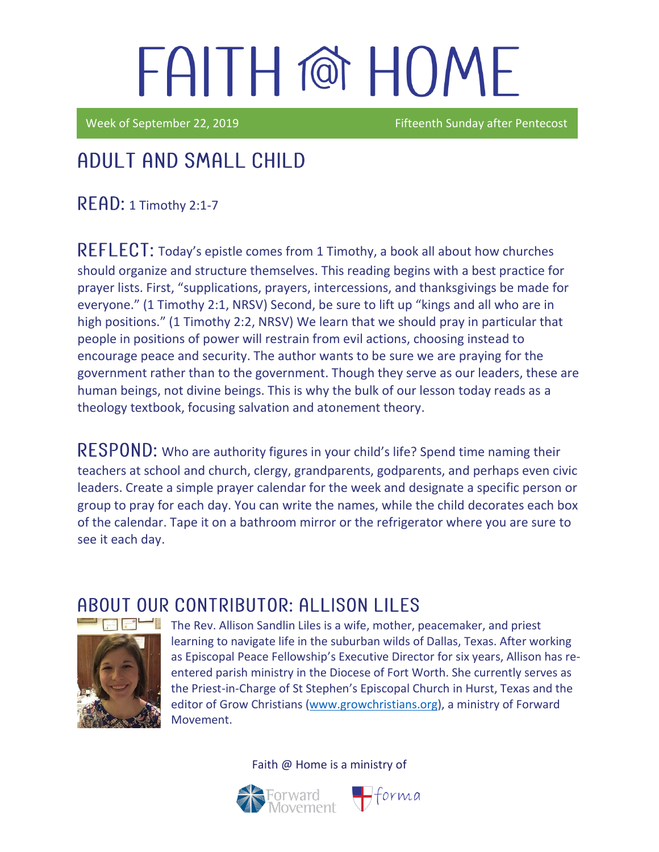Week of September 22, 2019 **Fifteenth Sunday after Pentecost** 

## Adult and Small Child

 $READ: 1$  Timothy 2:1-7

REFLECT: Today's epistle comes from 1 Timothy, a book all about how churches should organize and structure themselves. This reading begins with a best practice for prayer lists. First, "supplications, prayers, intercessions, and thanksgivings be made for everyone." (1 Timothy 2:1, NRSV) Second, be sure to lift up "kings and all who are in high positions." (1 Timothy 2:2, NRSV) We learn that we should pray in particular that people in positions of power will restrain from evil actions, choosing instead to encourage peace and security. The author wants to be sure we are praying for the government rather than to the government. Though they serve as our leaders, these are human beings, not divine beings. This is why the bulk of our lesson today reads as a theology textbook, focusing salvation and atonement theory.

RESPOND: Who are authority figures in your child's life? Spend time naming their teachers at school and church, clergy, grandparents, godparents, and perhaps even civic leaders. Create a simple prayer calendar for the week and designate a specific person or group to pray for each day. You can write the names, while the child decorates each box of the calendar. Tape it on a bathroom mirror or the refrigerator where you are sure to see it each day.

### ABOUT OUR CONTRIBUTOR: ALLISON LILES



The Rev. Allison Sandlin Liles is a wife, mother, peacemaker, and priest learning to navigate life in the suburban wilds of Dallas, Texas. After working as [Episcopal Peace Fellowship](http://epfnational.org/)'s Executive Director for six years, Allison has reentered parish ministry in the Diocese of Fort Worth. She currently serves as the Priest-in-Charge of [St Stephen's Episcopal Church](http://ssechurst.org/) in Hurst, Texas and the editor of [Grow Christians](http://growchristians.org/) [\(www.growchristians.org\)](http://www.growchristians.org/), a ministry of Forward Movement.

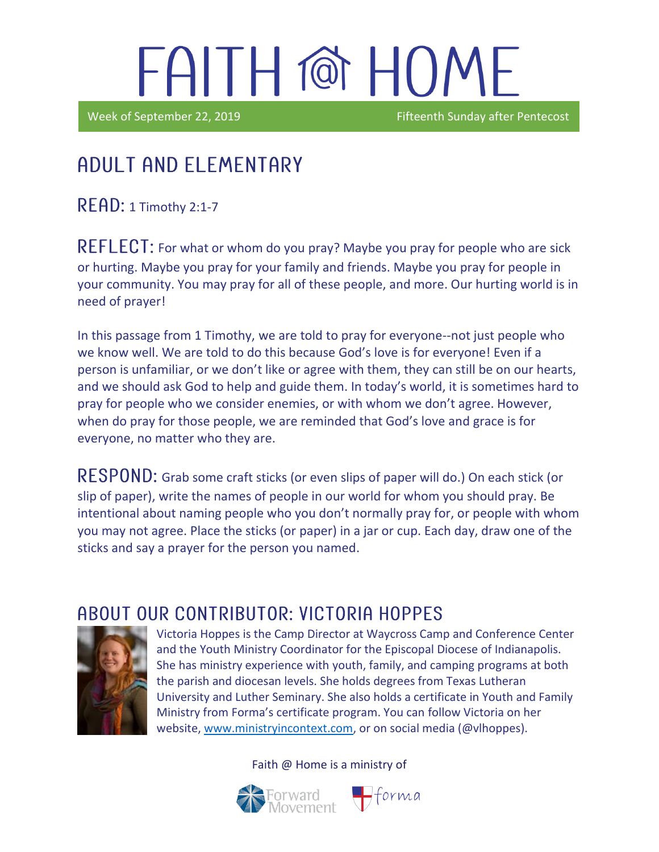i

Week of September 22, 2019 **Fifteenth Sunday after Pentecost** 

## Adult and elementary

READ: 1 Timothy 2:1-7

REFLECT: For what or whom do you pray? Maybe you pray for people who are sick or hurting. Maybe you pray for your family and friends. Maybe you pray for people in your community. You may pray for all of these people, and more. Our hurting world is in need of prayer!

In this passage from 1 Timothy, we are told to pray for everyone--not just people who we know well. We are told to do this because God's love is for everyone! Even if a person is unfamiliar, or we don't like or agree with them, they can still be on our hearts, and we should ask God to help and guide them. In today's world, it is sometimes hard to pray for people who we consider enemies, or with whom we don't agree. However, when do pray for those people, we are reminded that God's love and grace is for everyone, no matter who they are.

RESPOND: Grab some craft sticks (or even slips of paper will do.) On each stick (or slip of paper), write the names of people in our world for whom you should pray. Be intentional about naming people who you don't normally pray for, or people with whom you may not agree. Place the sticks (or paper) in a jar or cup. Each day, draw one of the sticks and say a prayer for the person you named.

### ABOUT OUR CONTRIBUTOR: VICTORIA HOPPES



Victoria Hoppes is the Camp Director at Waycross Camp and Conference Center and the Youth Ministry Coordinator for the Episcopal Diocese of Indianapolis. She has ministry experience with youth, family, and camping programs at both the parish and diocesan levels. She holds degrees from Texas Lutheran University and Luther Seminary. She also holds a certificate in Youth and Family Ministry from Forma's certificate program. You can follow Victoria on her website, [www.ministryincontext.com,](http://www.ministryincontext.com/) or on social media (@vlhoppes).

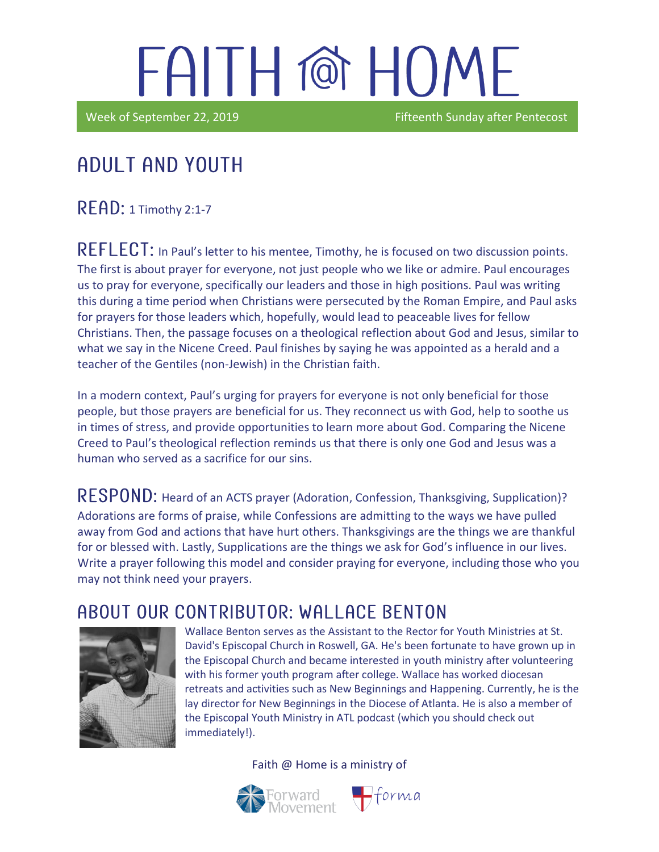Week of September 22, 2019 **Fifteenth Sunday after Pentecost** 

## Adult and youth

 $READ: 1$  Timothy 2:1-7

in the contract of the contract of the contract of the contract of the contract of the contract of the contract of the contract of the contract of the contract of the contract of the contract of the contract of the contrac

REFLECT: In Paul's letter to his mentee, Timothy, he is focused on two discussion points. The first is about prayer for everyone, not just people who we like or admire. Paul encourages us to pray for everyone, specifically our leaders and those in high positions. Paul was writing this during a time period when Christians were persecuted by the Roman Empire, and Paul asks for prayers for those leaders which, hopefully, would lead to peaceable lives for fellow Christians. Then, the passage focuses on a theological reflection about God and Jesus, similar to what we say in the Nicene Creed. Paul finishes by saying he was appointed as a herald and a teacher of the Gentiles (non-Jewish) in the Christian faith.

In a modern context, Paul's urging for prayers for everyone is not only beneficial for those people, but those prayers are beneficial for us. They reconnect us with God, help to soothe us in times of stress, and provide opportunities to learn more about God. Comparing the Nicene Creed to Paul's theological reflection reminds us that there is only one God and Jesus was a human who served as a sacrifice for our sins.

RESPOND: Heard of an ACTS prayer (Adoration, Confession, Thanksgiving, Supplication)? Adorations are forms of praise, while Confessions are admitting to the ways we have pulled away from God and actions that have hurt others. Thanksgivings are the things we are thankful for or blessed with. Lastly, Supplications are the things we ask for God's influence in our lives. Write a prayer following this model and consider praying for everyone, including those who you may not think need your prayers.

### A BOUT OUR CONTRIBUTOR: WALL ACF BENTON



Wallace Benton serves as the Assistant to the Rector for Youth Ministries at St. David's Episcopal Church in Roswell, GA. He's been fortunate to have grown up in the Episcopal Church and became interested in youth ministry after volunteering with his former youth program after college. Wallace has worked diocesan retreats and activities such as New Beginnings and Happening. Currently, he is the lay director for New Beginnings in the Diocese of Atlanta. He is also a member of the Episcopal Youth Ministry in ATL podcast (which you should check out immediately!).